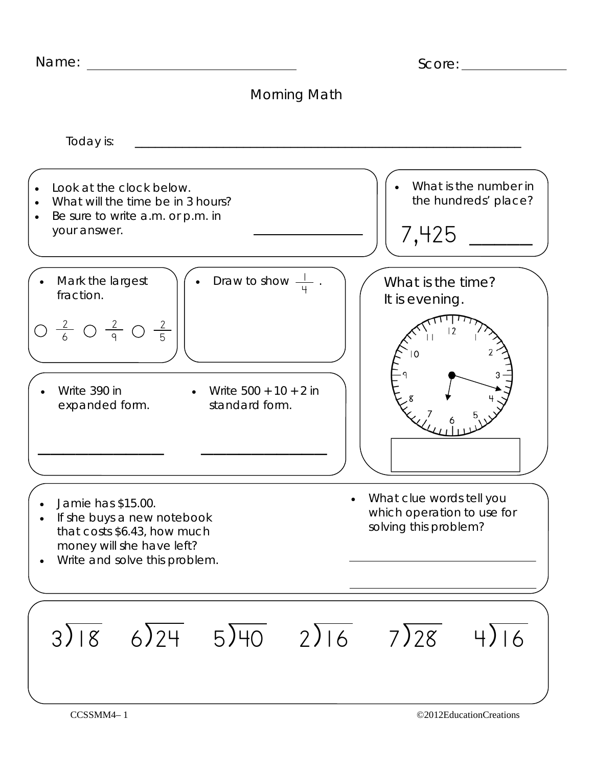| Name:                                                                                                                                         | Score:                                                                          |
|-----------------------------------------------------------------------------------------------------------------------------------------------|---------------------------------------------------------------------------------|
| Morning Math                                                                                                                                  |                                                                                 |
| Today is:                                                                                                                                     |                                                                                 |
| Look at the clock below.<br>What will the time be in 3 hours?<br>Be sure to write a.m. or p.m. in<br>your answer.                             | What is the number in<br>the hundreds' place?<br>7,425                          |
| Draw to show -<br>Mark the largest<br>fraction.<br>$\frac{2}{6}$ O $\frac{2}{9}$ O $\frac{2}{5}$                                              | What is the time?<br>It is evening.                                             |
| Write 390 in<br>Write $500 + 10 + 2$ in<br>standard form.<br>expanded form.                                                                   |                                                                                 |
| Jamie has \$15.00.<br>If she buys a new notebook<br>that costs \$6.43, how much<br>money will she have left?<br>Write and solve this problem. | What clue words tell you<br>which operation to use for<br>solving this problem? |
| $3\sqrt{18}$ 6) $24$ 5) $40$ 2) 16                                                                                                            | $7\overline{)28}$ 4)16                                                          |
| CCSSMM4-1                                                                                                                                     | ©2012EducationCreations                                                         |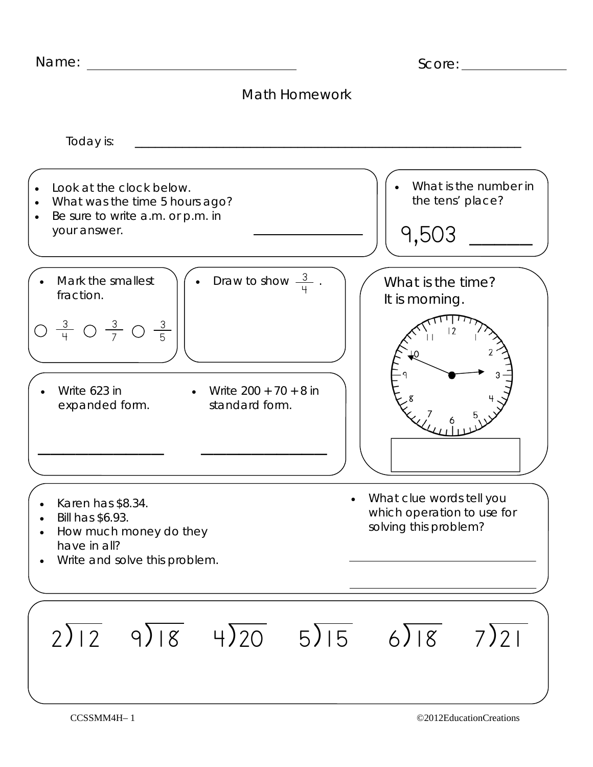| Name:                                                                                                                                    | Score:                                                                          |
|------------------------------------------------------------------------------------------------------------------------------------------|---------------------------------------------------------------------------------|
| <b>Math Homework</b>                                                                                                                     |                                                                                 |
| Today is:                                                                                                                                |                                                                                 |
| Look at the clock below.<br>What was the time 5 hours ago?<br>$\bullet$<br>Be sure to write a.m. or p.m. in<br>$\bullet$<br>your answer. | What is the number in<br>the tens' place?<br>9,503                              |
| Draw to show $\frac{3}{4}$ .<br>Mark the smallest<br>fraction.<br>$\frac{3}{4}$ O $\frac{3}{7}$ O $\frac{3}{5}$                          | What is the time?<br>It is morning.                                             |
| Write 623 in<br>Write $200 + 70 + 8$ in<br>standard form.<br>expanded form.                                                              |                                                                                 |
| Karen has \$8.34.<br>Bill has \$6.93.<br>How much money do they<br>have in all?<br>Write and solve this problem.                         | What clue words tell you<br>which operation to use for<br>solving this problem? |
| $2\sqrt{12}$ 9)18 4)20 5)15 6)18 7)21                                                                                                    |                                                                                 |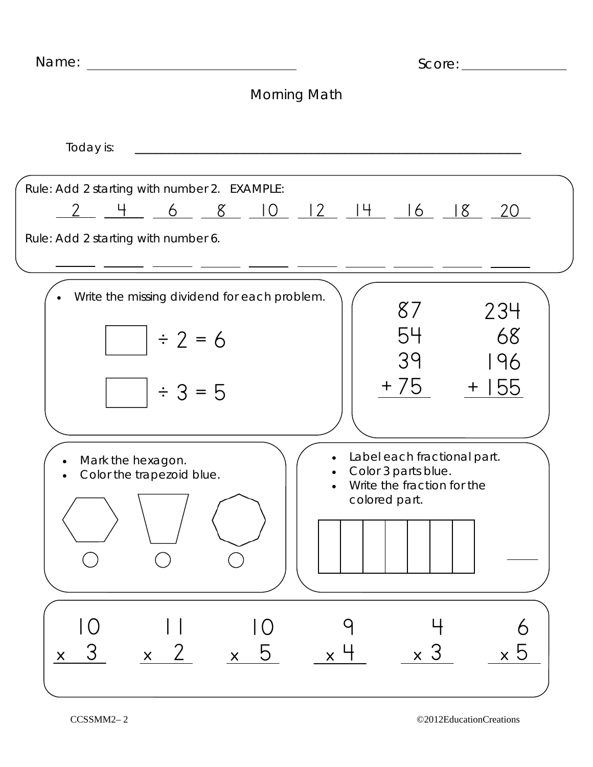| Name:                                                                                                                | Score:                                                                                                         |
|----------------------------------------------------------------------------------------------------------------------|----------------------------------------------------------------------------------------------------------------|
|                                                                                                                      | <b>Morning Math</b>                                                                                            |
| Today is:                                                                                                            |                                                                                                                |
| Rule: Add 2 starting with number 2. EXAMPLE:<br><u>2 4 6 8 10 12 14 16 18</u><br>Rule: Add 2 starting with number 6. | $-20$                                                                                                          |
| Write the missing dividend for each problem.<br>$\div 2 = 6$<br>$\div 3 = 5$                                         | 87<br>234<br>54<br>68<br>39<br>196<br>+ 75<br>$+155$                                                           |
| Mark the hexagon.<br>Color the trapezoid blue.                                                                       | Label each fractional part.<br>Color 3 parts blue.<br>Write the fraction for the<br>$\bullet$<br>colored part. |
| 3<br>b<br>$\boldsymbol{\mathsf{X}}$<br>$\mathsf{X}$<br>$\mathsf{X}$                                                  | $\times$ 5<br>$\mathsf{X}^-$<br>$\overline{\mathsf{x}}$                                                        |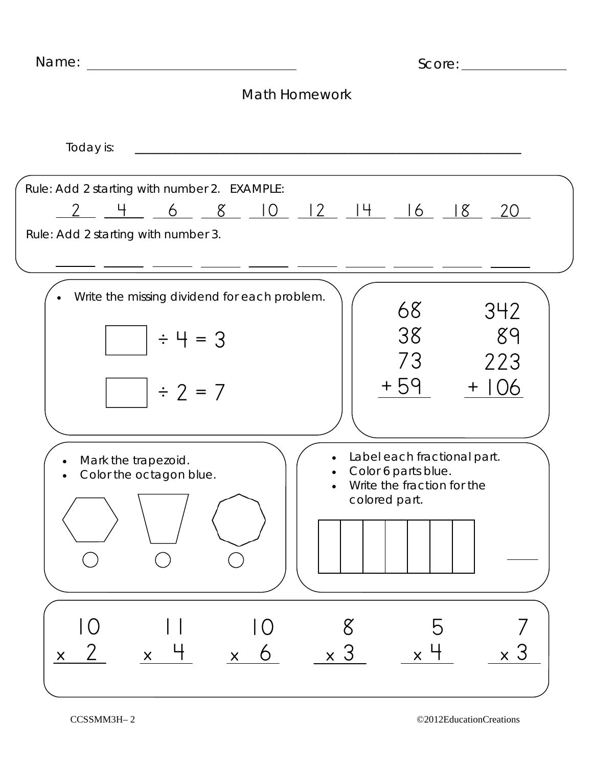| Name:                                                                                       |                                                                                                   |
|---------------------------------------------------------------------------------------------|---------------------------------------------------------------------------------------------------|
|                                                                                             | <b>Math Homework</b>                                                                              |
| Today is:                                                                                   |                                                                                                   |
| Rule: Add 2 starting with number 2. EXAMPLE:<br>$-4$<br>Rule: Add 2 starting with number 3. | <u>6 8 10 12 14 16 18 20</u>                                                                      |
| Write the missing dividend for each problem.<br>$\div 4 = 3$<br>$\div$ 2 = 7                | 68<br>342<br>38<br>89<br>73<br>223<br>$+59$<br>$+106$                                             |
| Mark the trapezoid.<br>Color the octagon blue.                                              | Label each fractional part.<br>Color 6 parts blue.<br>Write the fraction for the<br>colored part. |
| $\bigcup$<br>6<br>$\pmb{\times}$<br>$\mathsf{X}^-$<br>$\times$                              | 3<br>$\times$ 3<br>$\mathsf{X}^-$<br>$\pmb{\times}$                                               |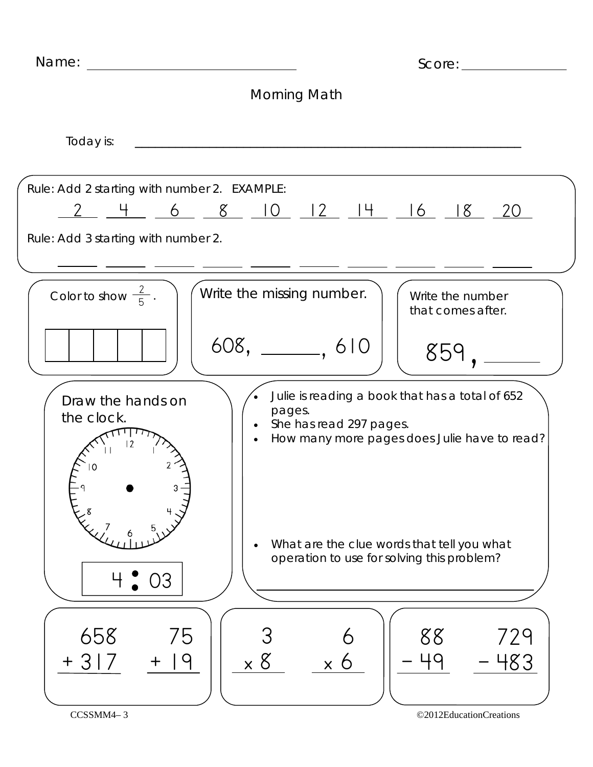| Name:                                                                               | Score:                                                                                                                                            |
|-------------------------------------------------------------------------------------|---------------------------------------------------------------------------------------------------------------------------------------------------|
|                                                                                     | Morning Math                                                                                                                                      |
| Today is:                                                                           |                                                                                                                                                   |
| Rule: Add 2 starting with number 2. EXAMPLE:<br>Rule: Add 3 starting with number 2. | <u>2 4 6 8 10 12 14 16 18 20</u>                                                                                                                  |
| Color to show $\frac{2}{5}$ .                                                       | Write the missing number.<br>Write the number<br>that comes after.<br>$608, \_\_$ . 610<br>859                                                    |
| Draw the hands on<br>the clock.                                                     | Julie is reading a book that has a total of 652<br>pages.<br>She has read 297 pages.<br>$\bullet$<br>How many more pages does Julie have to read? |
| $\degree$ 03                                                                        | What are the clue words that tell you what<br>$\bullet$<br>operation to use for solving this problem?                                             |
| 658<br>75<br>q<br>+ 3<br>$\mathbf +$                                                | 88<br>729<br>$\times$ 8<br>483<br>$\mathsf{X}^-$                                                                                                  |
| CCSSMM4-3                                                                           | ©2012EducationCreations                                                                                                                           |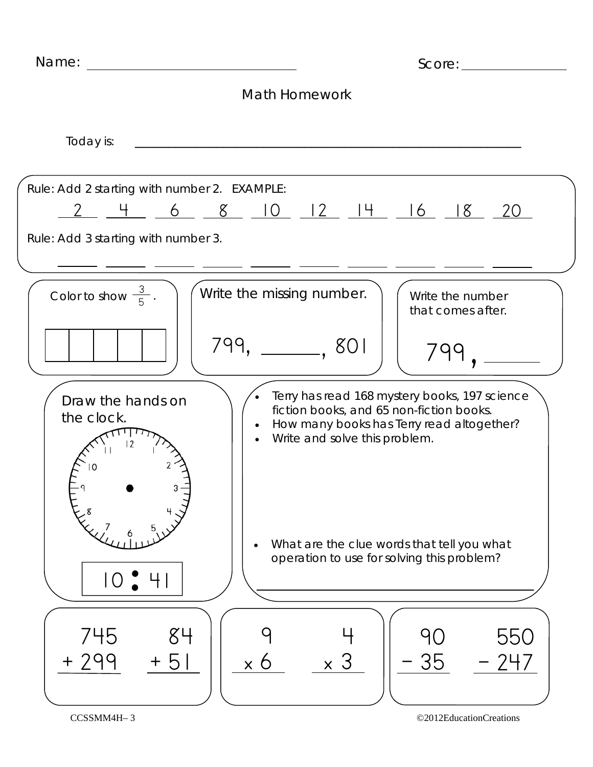| Name:                                               | Score:                                                                                                                                                                               |
|-----------------------------------------------------|--------------------------------------------------------------------------------------------------------------------------------------------------------------------------------------|
|                                                     | <b>Math Homework</b>                                                                                                                                                                 |
| Today is:                                           |                                                                                                                                                                                      |
| Rule: Add 2 starting with number 2. EXAMPLE:        | <u>2 4 6 8 10 12 14 16 18 20</u>                                                                                                                                                     |
| Rule: Add 3 starting with number 3.                 |                                                                                                                                                                                      |
| Color to show $\frac{3}{5}$ .                       | Write the missing number.<br>Write the number<br>that comes after.<br>799, ______, 801                                                                                               |
| Draw the hands on<br>the clock.<br>12               | Terry has read 168 mystery books, 197 science<br>fiction books, and 65 non-fiction books.<br>How many books has Terry read altogether?<br>$\bullet$<br>Write and solve this problem. |
| $10$ $41$                                           | What are the clue words that tell you what<br>$\bullet$<br>operation to use for solving this problem?                                                                                |
| 745<br>84<br>+ 299<br>$\overline{C}$<br>$\mathbf +$ | 550<br>35<br>$\mathsf{X}^{\top}$<br>O<br>$\mathsf{X}^-$                                                                                                                              |
| CCSSMM4H-3                                          | ©2012EducationCreations                                                                                                                                                              |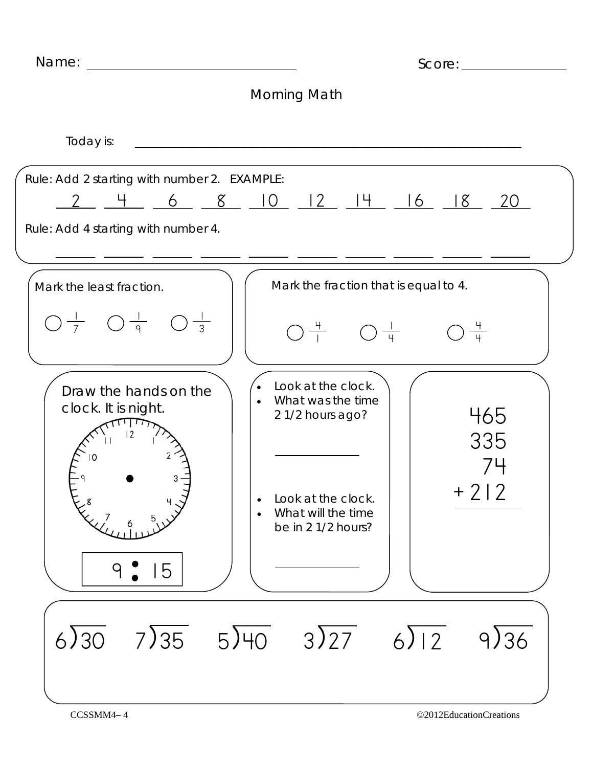| Name:                                                                                                                                                                                                                                                                                                                                                                                                        | Score:                                                                                                                                               |
|--------------------------------------------------------------------------------------------------------------------------------------------------------------------------------------------------------------------------------------------------------------------------------------------------------------------------------------------------------------------------------------------------------------|------------------------------------------------------------------------------------------------------------------------------------------------------|
|                                                                                                                                                                                                                                                                                                                                                                                                              | Morning Math                                                                                                                                         |
| Today is:                                                                                                                                                                                                                                                                                                                                                                                                    |                                                                                                                                                      |
| Rule: Add 2 starting with number 2. EXAMPLE:<br>Rule: Add 4 starting with number 4.                                                                                                                                                                                                                                                                                                                          | <u>2 4 6 8 10 12 14 16 18 20</u>                                                                                                                     |
| Mark the least fraction.                                                                                                                                                                                                                                                                                                                                                                                     | Mark the fraction that is equal to 4.                                                                                                                |
| $\bigcirc \frac{1}{7}$ $\bigcirc \frac{1}{9}$ $\bigcirc \frac{1}{3}$                                                                                                                                                                                                                                                                                                                                         | $\bigcirc \frac{4}{1}$ $\bigcirc \frac{1}{4}$ $\bigcirc \frac{4}{4}$                                                                                 |
| Draw the hands on the<br>clock. It is night.<br>$\Omega$<br>$\begin{pmatrix} 1 & 1 & 1 \\ 1 & 1 & 1 \\ 1 & 1 & 1 \\ 1 & 1 & 1 \\ 1 & 1 & 1 \\ 1 & 1 & 1 \\ 1 & 1 & 1 \\ 1 & 1 & 1 \\ 1 & 1 & 1 \\ 1 & 1 & 1 \\ 1 & 1 & 1 \\ 1 & 1 & 1 \\ 1 & 1 & 1 \\ 1 & 1 & 1 \\ 1 & 1 & 1 \\ 1 & 1 & 1 \\ 1 & 1 & 1 \\ 1 & 1 & 1 \\ 1 & 1 & 1 \\ 1 & 1 & 1 \\ 1 & 1 & 1 \\ 1 & 1 & 1 \\ 1 & 1 & 1 \\ 1 & 1 & $<br>15<br>9 | Look at the clock.<br>What was the time<br>465<br>21/2 hours ago?<br>335<br>$+212$<br>Look at the clock.<br>What will the time<br>be in 2 1/2 hours? |
| 6)30                                                                                                                                                                                                                                                                                                                                                                                                         | $7\overline{\smash{)}35}$ $5\overline{\smash{)}40}$ $3\overline{\smash{)}27}$<br>$6\sqrt{12}$<br>9)36                                                |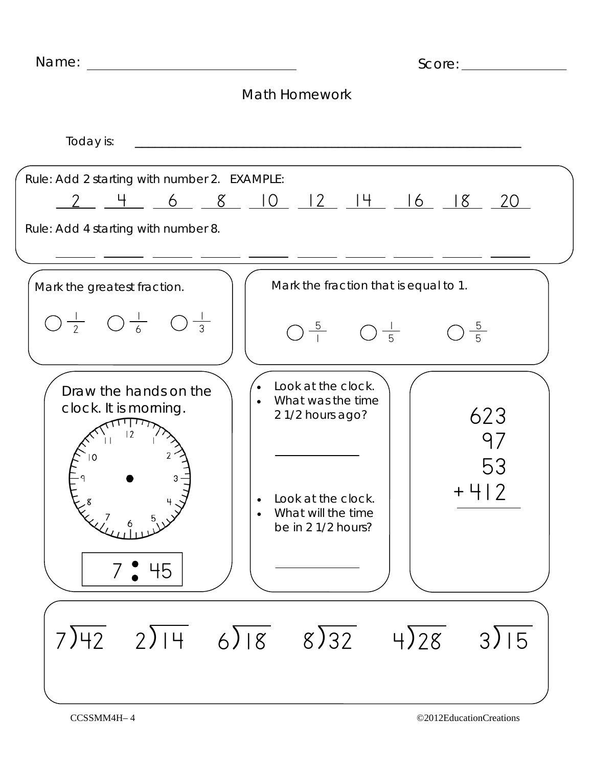| Name:<br><u> 1980 - John Stein, Amerikaansk politiker (</u>                         | Score: with the second state of the second state of the second state of the second state of the second state of the second state of the second state of the second state of the second state of the second state of the second |
|-------------------------------------------------------------------------------------|--------------------------------------------------------------------------------------------------------------------------------------------------------------------------------------------------------------------------------|
|                                                                                     | <b>Math Homework</b>                                                                                                                                                                                                           |
| Today is:                                                                           |                                                                                                                                                                                                                                |
| Rule: Add 2 starting with number 2. EXAMPLE:<br>Rule: Add 4 starting with number 8. | $2$ 4 6 8 10 12 14 16 18 20                                                                                                                                                                                                    |
| Mark the greatest fraction.                                                         | Mark the fraction that is equal to 1.                                                                                                                                                                                          |
| $\bigcirc \frac{1}{2}$ $\bigcirc \frac{1}{6}$ $\bigcirc \frac{1}{3}$                | $\frac{5}{5}$<br>$\bigcap \frac{5}{1} \qquad \bigcup \frac{1}{5}$                                                                                                                                                              |
| Draw the hands on the<br>clock. It is morning.<br>7.945                             | Look at the clock.<br>What was the time<br>623<br>21/2 hours ago?<br>97<br>53<br>- 2<br>$+$ $\overline{ }$<br>Look at the clock.<br>What will the time<br>be in 2 1/2 hours?                                                   |
| $2\sqrt{14}$ 6) $18$<br>7)42                                                        | $8\sqrt{32}$<br>$4\sqrt{28}$<br>3)15                                                                                                                                                                                           |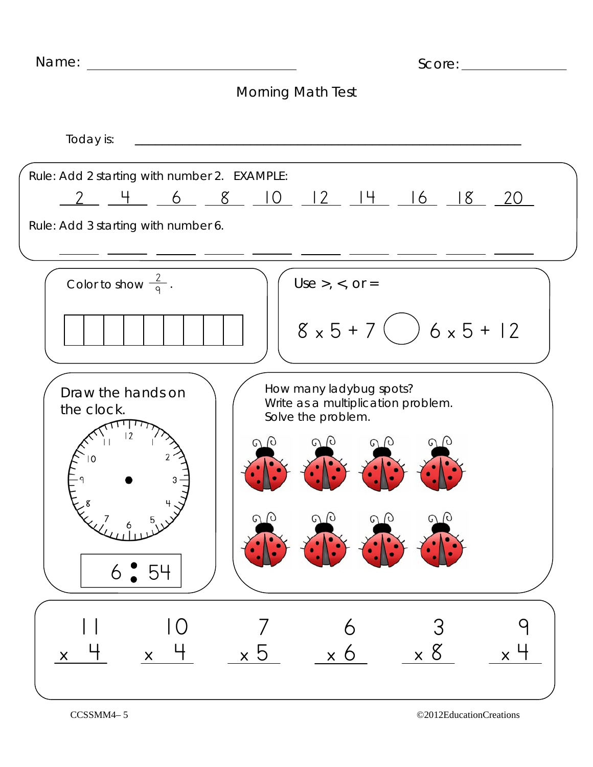## Morning Math Test

Today is: Use  $>$ ,  $<$ , or  $=$  $8 \times 5 + 7$   $36 \times 5 + 12$ Color to show  $\frac{2}{9}$ . Draw the hands on the clock.  $6.54$ How many ladybug spots? Write as a multiplication problem. Solve the problem. 10  $\mathsf{X}$  11  $\mathsf{X}$  6 x 6 7 x 5 9  $\times$  3 x 8 Rule: Add 3 starting with number 6. Rule: Add 2 starting with number 2. EXAMPLE: 2 4 6 8 10 12 14 16 18 20